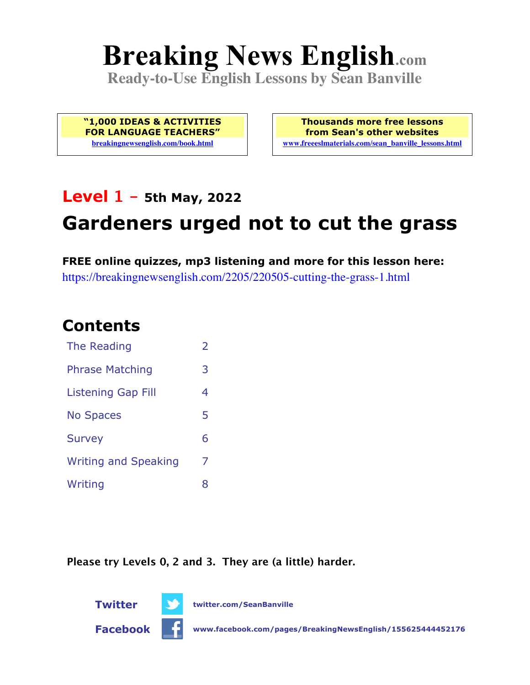# **Breaking News English.com**

**Ready-to-Use English Lessons by Sean Banville**

**"1,000 IDEAS & ACTIVITIES FOR LANGUAGE TEACHERS" breakingnewsenglish.com/book.html**

**Thousands more free lessons from Sean's other websites www.freeeslmaterials.com/sean\_banville\_lessons.html**

### **Level 1 - 5th May, 2022**

## **Gardeners urged not to cut the grass**

**FREE online quizzes, mp3 listening and more for this lesson here:** https://breakingnewsenglish.com/2205/220505-cutting-the-grass-1.html

### **Contents**

| The Reading                 | $\overline{\phantom{a}}$ |
|-----------------------------|--------------------------|
| <b>Phrase Matching</b>      | 3                        |
| Listening Gap Fill          | 4                        |
| <b>No Spaces</b>            | 5                        |
| <b>Survey</b>               | 6                        |
| <b>Writing and Speaking</b> | 7                        |
| Writing                     | x                        |

**Please try Levels 0, 2 and 3. They are (a little) harder.**



**Twitter twitter.com/SeanBanville**



**Facebook www.facebook.com/pages/BreakingNewsEnglish/155625444452176**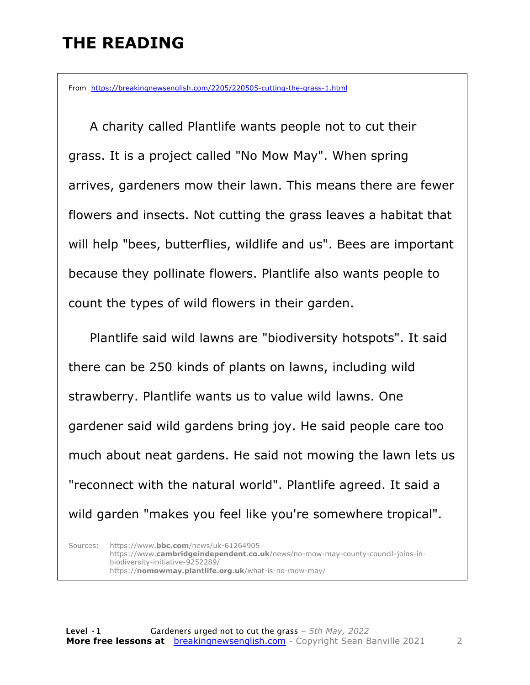### **THE READING**

From https://breakingnewsenglish.com/2205/220505-cutting-the-grass-1.html

 A charity called Plantlife wants people not to cut their grass. It is a project called "No Mow May". When spring arrives, gardeners mow their lawn. This means there are fewer flowers and insects. Not cutting the grass leaves a habitat that will help "bees, butterflies, wildlife and us". Bees are important because they pollinate flowers. Plantlife also wants people to count the types of wild flowers in their garden.

Plantlife said wild lawns are "biodiversity hotspots". It said there can be 250 kinds of plants on lawns, including wild strawberry. Plantlife wants us to value wild lawns. One gardener said wild gardens bring joy. He said people care too much about neat gardens. He said not mowing the lawn lets us "reconnect with the natural world". Plantlife agreed. It said a wild garden "makes you feel like you're somewhere tropical".

Sources: https://www.**bbc.com**/news/uk-61264905 https://www.**cambridgeindependent.co.uk**/news/no-mow-may-county-council-joins-inbiodiversity-initiative-9252289/ https://**nomowmay.plantlife.org.uk**/what-is-no-mow-may/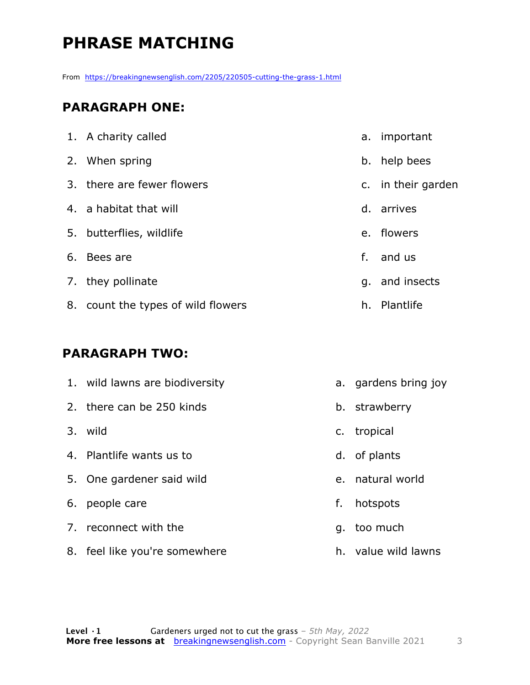### **PHRASE MATCHING**

From https://breakingnewsenglish.com/2205/220505-cutting-the-grass-1.html

#### **PARAGRAPH ONE:**

| 1. A charity called                | а.             | important          |
|------------------------------------|----------------|--------------------|
| 2. When spring                     |                | b. help bees       |
| 3. there are fewer flowers         |                | c. in their garden |
| 4. a habitat that will             |                | d. arrives         |
| 5. butterflies, wildlife           | e <sub>1</sub> | flowers            |
| 6. Bees are                        | f.             | and us             |
| 7. they pollinate                  |                | q. and insects     |
| 8. count the types of wild flowers |                | h. Plantlife       |

#### **PARAGRAPH TWO:**

|    | 1. wild lawns are biodiversity |    | a. gardens bring joy |
|----|--------------------------------|----|----------------------|
|    | 2. there can be 250 kinds      |    | b. strawberry        |
|    | 3. wild                        |    | c. tropical          |
|    | 4. Plantlife wants us to       |    | d. of plants         |
|    | 5. One gardener said wild      |    | e. natural world     |
| 6. | people care                    | f. | hotspots             |
| 7. | reconnect with the             |    | g. too much          |
|    | 8. feel like you're somewhere  |    | h. value wild lawns  |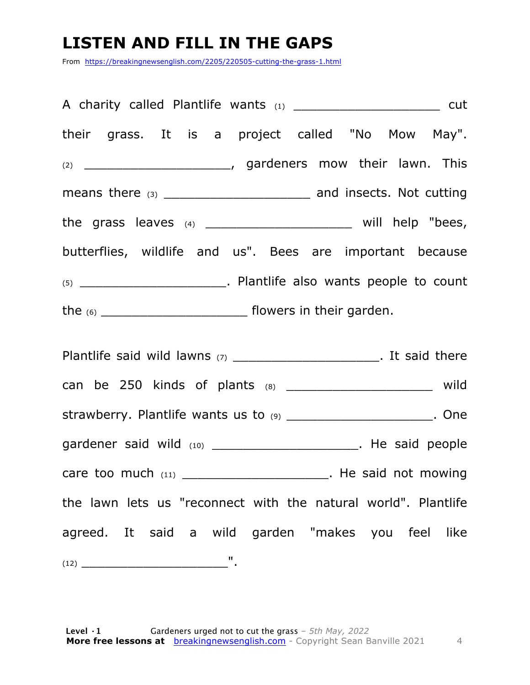### **LISTEN AND FILL IN THE GAPS**

From https://breakingnewsenglish.com/2205/220505-cutting-the-grass-1.html

| A charity called Plantlife wants (1) ______________________________ cut |  |
|-------------------------------------------------------------------------|--|
| their grass. It is a project called "No Mow May".                       |  |
|                                                                         |  |
|                                                                         |  |
| the grass leaves $(4)$ ____________________________ will help "bees,    |  |
| butterflies, wildlife and us". Bees are important because               |  |
| $(5)$ ___________________________. Plantlife also wants people to count |  |
|                                                                         |  |

Plantlife said wild lawns  $(7)$  \_\_\_\_\_\_\_\_\_\_\_\_\_\_\_\_\_\_\_\_\_\_\_\_. It said there can be 250 kinds of plants (8) \_\_\_\_\_\_\_\_\_\_\_\_\_\_\_\_\_\_\_ wild strawberry. Plantlife wants us to (9) \_\_\_\_\_\_\_\_\_\_\_\_\_\_\_\_\_\_\_\_\_\_. One gardener said wild (10) \_\_\_\_\_\_\_\_\_\_\_\_\_\_\_\_\_\_\_\_\_\_\_\_\_. He said people care too much  $(11)$  \_\_\_\_\_\_\_\_\_\_\_\_\_\_\_\_\_\_\_\_\_\_\_\_. He said not mowing the lawn lets us "reconnect with the natural world". Plantlife agreed. It said a wild garden "makes you feel like  $(12)$   $\qquad \qquad \blacksquare$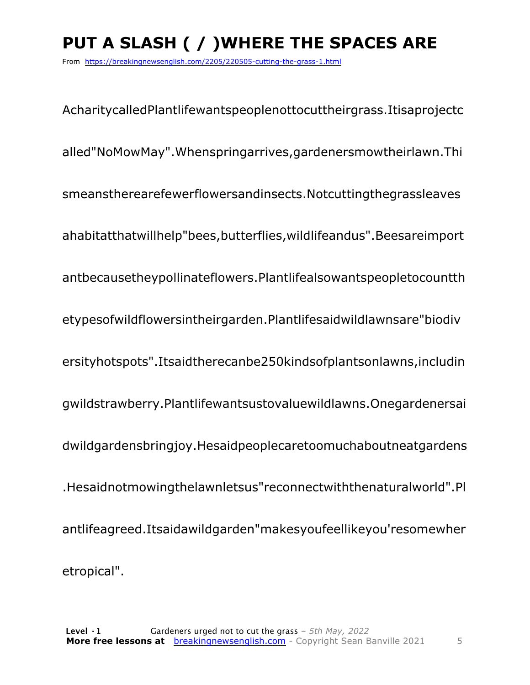### **PUT A SLASH ( / )WHERE THE SPACES ARE**

From https://breakingnewsenglish.com/2205/220505-cutting-the-grass-1.html

AcharitycalledPlantlifewantspeoplenottocuttheirgrass.Itisaprojectc alled"NoMowMay".Whenspringarrives,gardenersmowtheirlawn.Thi smeanstherearefewerflowersandinsects.Notcuttingthegrassleaves ahabitatthatwillhelp"bees,butterflies,wildlifeandus".Beesareimport antbecausetheypollinateflowers.Plantlifealsowantspeopletocountth etypesofwildflowersintheirgarden.Plantlifesaidwildlawnsare"biodiv ersityhotspots".Itsaidtherecanbe250kindsofplantsonlawns,includin gwildstrawberry.Plantlifewantsustovaluewildlawns.Onegardenersai dwildgardensbringjoy.Hesaidpeoplecaretoomuchaboutneatgardens .Hesaidnotmowingthelawnletsus"reconnectwiththenaturalworld".Pl antlifeagreed.Itsaidawildgarden"makesyoufeellikeyou'resomewher etropical".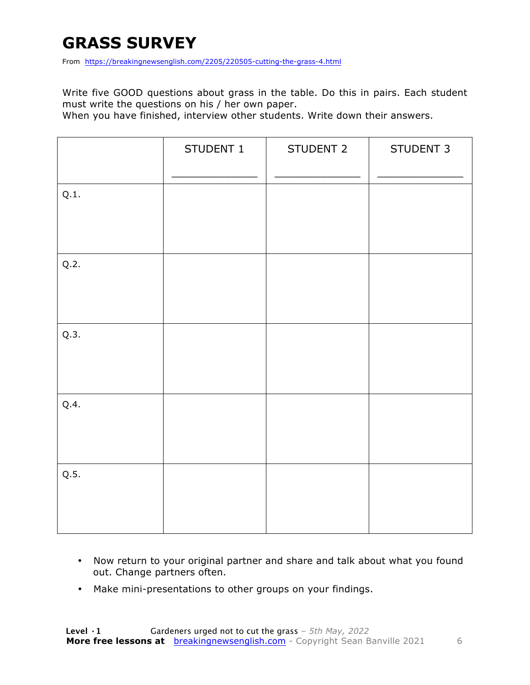### **GRASS SURVEY**

From https://breakingnewsenglish.com/2205/220505-cutting-the-grass-4.html

Write five GOOD questions about grass in the table. Do this in pairs. Each student must write the questions on his / her own paper.

When you have finished, interview other students. Write down their answers.

|      | STUDENT 1 | STUDENT 2 | STUDENT 3 |
|------|-----------|-----------|-----------|
| Q.1. |           |           |           |
| Q.2. |           |           |           |
| Q.3. |           |           |           |
| Q.4. |           |           |           |
| Q.5. |           |           |           |

- Now return to your original partner and share and talk about what you found out. Change partners often.
- Make mini-presentations to other groups on your findings.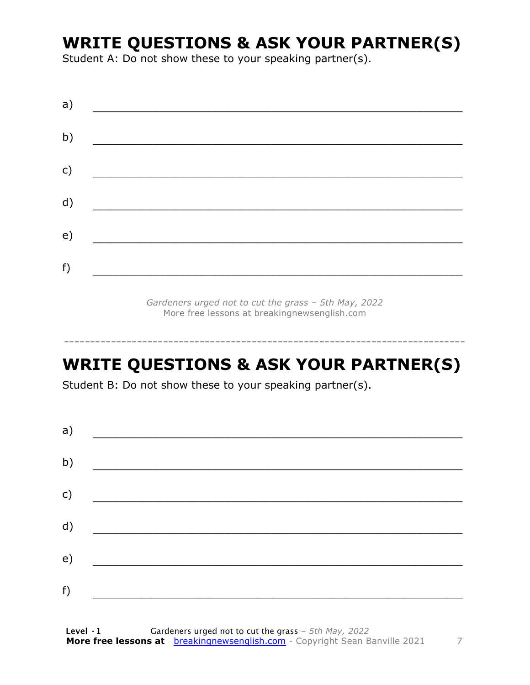### **WRITE QUESTIONS & ASK YOUR PARTNER(S)**

Student A: Do not show these to your speaking partner(s).

*Gardeners urged not to cut the grass – 5th May, 2022* More free lessons at breakingnewsenglish.com

### **WRITE QUESTIONS & ASK YOUR PARTNER(S)**

-----------------------------------------------------------------------------

Student B: Do not show these to your speaking partner(s).

| a) |  |  |
|----|--|--|
| b) |  |  |
| c) |  |  |
| d) |  |  |
| e) |  |  |
| f) |  |  |
|    |  |  |